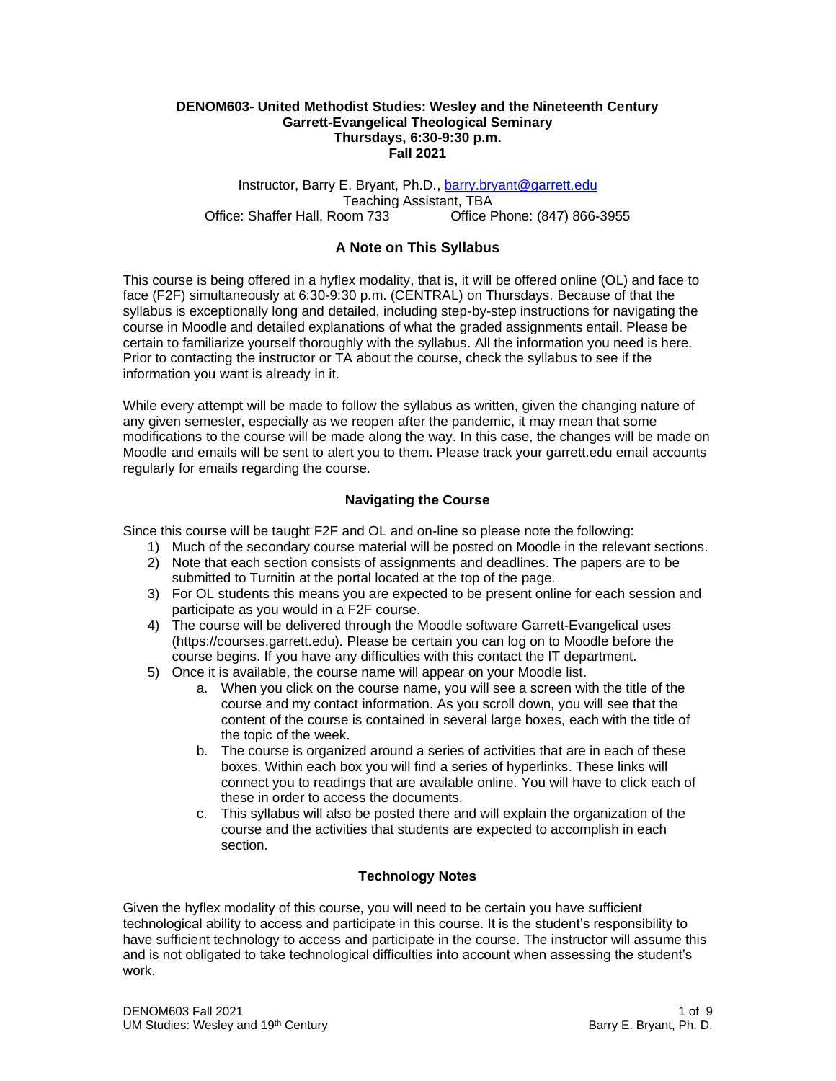## **DENOM603- United Methodist Studies: Wesley and the Nineteenth Century Garrett-Evangelical Theological Seminary Thursdays, 6:30-9:30 p.m. Fall 2021**

Instructor, Barry E. Bryant, Ph.D., [barry.bryant@garrett.edu](mailto:barry.bryant@garrett.edu) Teaching Assistant, TBA Office: Shaffer Hall, Room 733 Office Phone: (847) 866-3955

# **A Note on This Syllabus**

This course is being offered in a hyflex modality, that is, it will be offered online (OL) and face to face (F2F) simultaneously at 6:30-9:30 p.m. (CENTRAL) on Thursdays. Because of that the syllabus is exceptionally long and detailed, including step-by-step instructions for navigating the course in Moodle and detailed explanations of what the graded assignments entail. Please be certain to familiarize yourself thoroughly with the syllabus. All the information you need is here. Prior to contacting the instructor or TA about the course, check the syllabus to see if the information you want is already in it.

While every attempt will be made to follow the syllabus as written, given the changing nature of any given semester, especially as we reopen after the pandemic, it may mean that some modifications to the course will be made along the way. In this case, the changes will be made on Moodle and emails will be sent to alert you to them. Please track your garrett.edu email accounts regularly for emails regarding the course.

# **Navigating the Course**

Since this course will be taught F2F and OL and on-line so please note the following:

- 1) Much of the secondary course material will be posted on Moodle in the relevant sections.
- 2) Note that each section consists of assignments and deadlines. The papers are to be submitted to Turnitin at the portal located at the top of the page.
- 3) For OL students this means you are expected to be present online for each session and participate as you would in a F2F course.
- 4) The course will be delivered through the Moodle software Garrett-Evangelical uses (https://courses.garrett.edu). Please be certain you can log on to Moodle before the course begins. If you have any difficulties with this contact the IT department.
- 5) Once it is available, the course name will appear on your Moodle list.
	- a. When you click on the course name, you will see a screen with the title of the course and my contact information. As you scroll down, you will see that the content of the course is contained in several large boxes, each with the title of the topic of the week.
	- b. The course is organized around a series of activities that are in each of these boxes. Within each box you will find a series of hyperlinks. These links will connect you to readings that are available online. You will have to click each of these in order to access the documents.
	- c. This syllabus will also be posted there and will explain the organization of the course and the activities that students are expected to accomplish in each section.

## **Technology Notes**

Given the hyflex modality of this course, you will need to be certain you have sufficient technological ability to access and participate in this course. It is the student's responsibility to have sufficient technology to access and participate in the course. The instructor will assume this and is not obligated to take technological difficulties into account when assessing the student's work.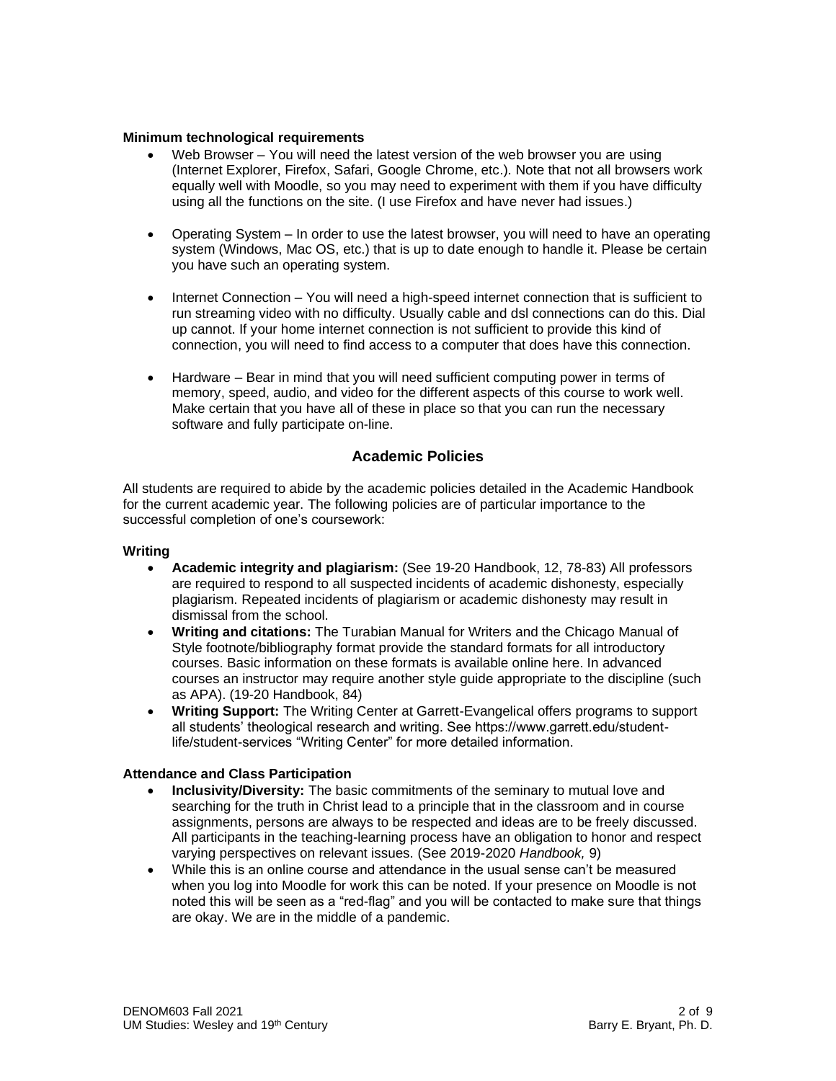## **Minimum technological requirements**

- Web Browser You will need the latest version of the web browser you are using (Internet Explorer, Firefox, Safari, Google Chrome, etc.). Note that not all browsers work equally well with Moodle, so you may need to experiment with them if you have difficulty using all the functions on the site. (I use Firefox and have never had issues.)
- Operating System In order to use the latest browser, you will need to have an operating system (Windows, Mac OS, etc.) that is up to date enough to handle it. Please be certain you have such an operating system.
- Internet Connection You will need a high-speed internet connection that is sufficient to run streaming video with no difficulty. Usually cable and dsl connections can do this. Dial up cannot. If your home internet connection is not sufficient to provide this kind of connection, you will need to find access to a computer that does have this connection.
- Hardware Bear in mind that you will need sufficient computing power in terms of memory, speed, audio, and video for the different aspects of this course to work well. Make certain that you have all of these in place so that you can run the necessary software and fully participate on-line.

# **Academic Policies**

All students are required to abide by the academic policies detailed in the Academic Handbook for the current academic year. The following policies are of particular importance to the successful completion of one's coursework:

## **Writing**

- **Academic integrity and plagiarism:** (See 19-20 Handbook, 12, 78-83) All professors are required to respond to all suspected incidents of academic dishonesty, especially plagiarism. Repeated incidents of plagiarism or academic dishonesty may result in dismissal from the school.
- **Writing and citations:** The Turabian Manual for Writers and the Chicago Manual of Style footnote/bibliography format provide the standard formats for all introductory courses. Basic information on these formats is available online here. In advanced courses an instructor may require another style guide appropriate to the discipline (such as APA). (19-20 Handbook, 84)
- **Writing Support:** The Writing Center at Garrett-Evangelical offers programs to support all students' theological research and writing. See https://www.garrett.edu/studentlife/student-services "Writing Center" for more detailed information.

# **Attendance and Class Participation**

- **Inclusivity/Diversity:** The basic commitments of the seminary to mutual love and searching for the truth in Christ lead to a principle that in the classroom and in course assignments, persons are always to be respected and ideas are to be freely discussed. All participants in the teaching-learning process have an obligation to honor and respect varying perspectives on relevant issues. (See 2019-2020 *Handbook,* 9)
- While this is an online course and attendance in the usual sense can't be measured when you log into Moodle for work this can be noted. If your presence on Moodle is not noted this will be seen as a "red-flag" and you will be contacted to make sure that things are okay. We are in the middle of a pandemic.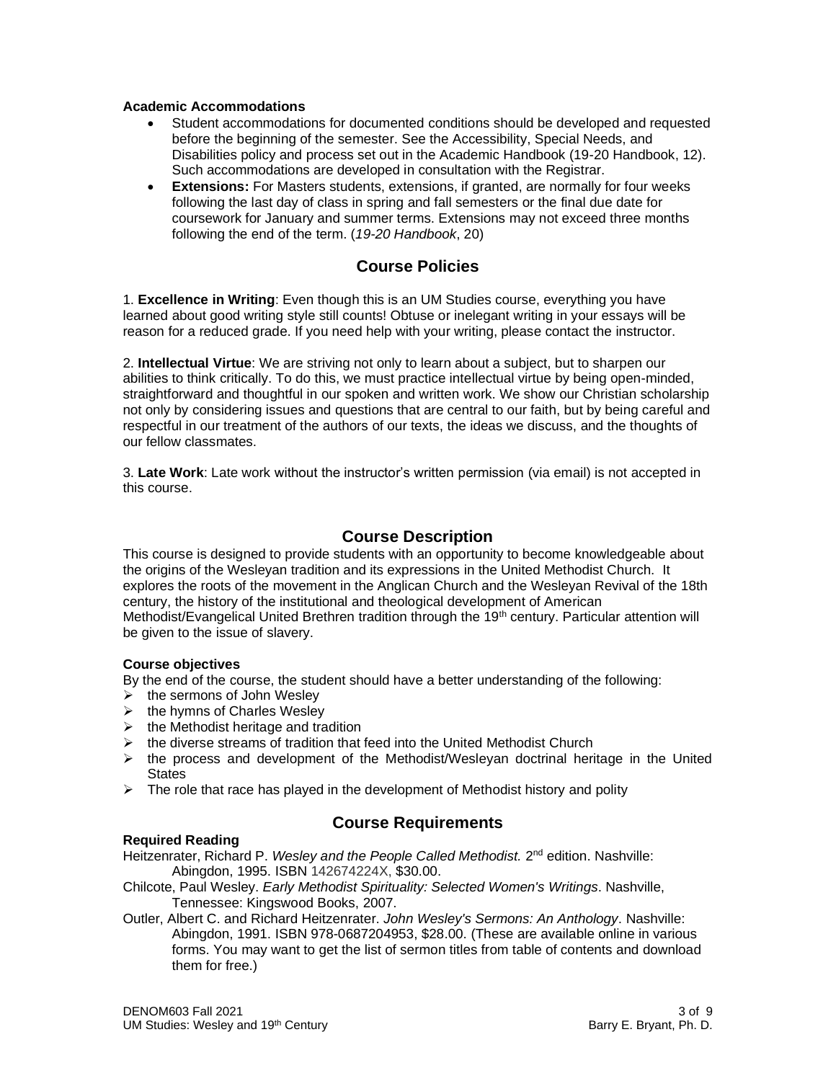## **Academic Accommodations**

- Student accommodations for documented conditions should be developed and requested before the beginning of the semester. See the Accessibility, Special Needs, and Disabilities policy and process set out in the Academic Handbook (19-20 Handbook, 12). Such accommodations are developed in consultation with the Registrar.
- **Extensions:** For Masters students, extensions, if granted, are normally for four weeks following the last day of class in spring and fall semesters or the final due date for coursework for January and summer terms. Extensions may not exceed three months following the end of the term. (*19-20 Handbook*, 20)

# **Course Policies**

1. **Excellence in Writing**: Even though this is an UM Studies course, everything you have learned about good writing style still counts! Obtuse or inelegant writing in your essays will be reason for a reduced grade. If you need help with your writing, please contact the instructor.

2. **Intellectual Virtue**: We are striving not only to learn about a subject, but to sharpen our abilities to think critically. To do this, we must practice intellectual virtue by being open-minded, straightforward and thoughtful in our spoken and written work. We show our Christian scholarship not only by considering issues and questions that are central to our faith, but by being careful and respectful in our treatment of the authors of our texts, the ideas we discuss, and the thoughts of our fellow classmates.

3. **Late Work**: Late work without the instructor's written permission (via email) is not accepted in this course.

# **Course Description**

This course is designed to provide students with an opportunity to become knowledgeable about the origins of the Wesleyan tradition and its expressions in the United Methodist Church. It explores the roots of the movement in the Anglican Church and the Wesleyan Revival of the 18th century, the history of the institutional and theological development of American Methodist/Evangelical United Brethren tradition through the 19<sup>th</sup> century. Particular attention will be given to the issue of slavery.

## **Course objectives**

By the end of the course, the student should have a better understanding of the following:

- $\triangleright$  the sermons of John Wesley
- $\triangleright$  the hymns of Charles Wesley
- $\triangleright$  the Methodist heritage and tradition
- $\triangleright$  the diverse streams of tradition that feed into the United Methodist Church
- $\triangleright$  the process and development of the Methodist/Wesleyan doctrinal heritage in the United **States**
- $\triangleright$  The role that race has played in the development of Methodist history and polity

# **Required Reading**

# **Course Requirements**

Heitzenrater, Richard P. Wesley and the People Called Methodist. 2<sup>nd</sup> edition. Nashville: Abingdon, 1995. ISBN 142674224X, \$30.00.

Chilcote, Paul Wesley. *Early Methodist Spirituality: Selected Women's Writings*. Nashville, Tennessee: Kingswood Books, 2007.

Outler, Albert C. and Richard Heitzenrater. *John Wesley's Sermons: An Anthology*. Nashville: Abingdon, 1991. ISBN 978-0687204953, \$28.00. (These are available online in various forms. You may want to get the list of sermon titles from table of contents and download them for free.)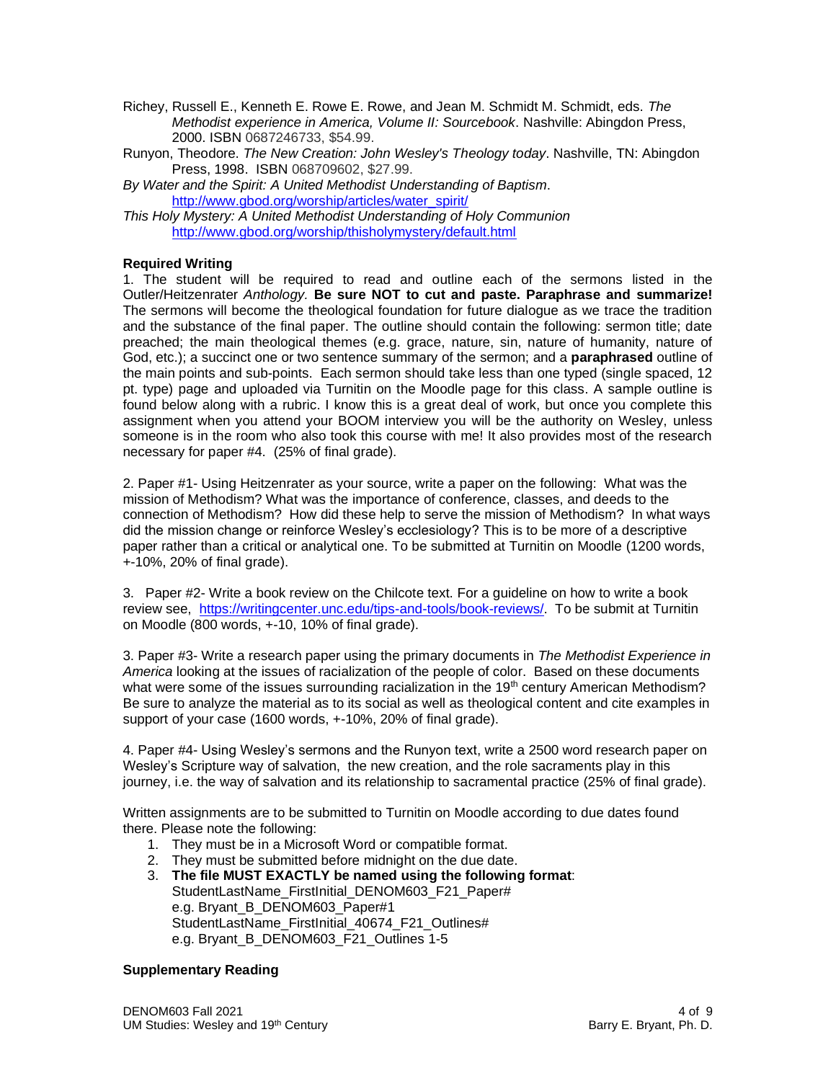- Richey, Russell E., Kenneth E. Rowe E. Rowe, and Jean M. Schmidt M. Schmidt, eds. *The Methodist experience in America, Volume II: Sourcebook*. Nashville: Abingdon Press, 2000. ISBN 0687246733, \$54.99.
- Runyon, Theodore. *The New Creation: John Wesley's Theology today*. Nashville, TN: Abingdon Press, 1998. ISBN 068709602, \$27.99.
- *By Water and the Spirit: A United Methodist Understanding of Baptism*. [http://www.gbod.org/worship/articles/water\\_spirit/](http://www.gbod.org/worship/articles/water_spirit/)
- *This Holy Mystery: A United Methodist Understanding of Holy Communion* <http://www.gbod.org/worship/thisholymystery/default.html>

# **Required Writing**

1. The student will be required to read and outline each of the sermons listed in the Outler/Heitzenrater *Anthology.* **Be sure NOT to cut and paste. Paraphrase and summarize!** The sermons will become the theological foundation for future dialogue as we trace the tradition and the substance of the final paper. The outline should contain the following: sermon title; date preached; the main theological themes (e.g. grace, nature, sin, nature of humanity, nature of God, etc.); a succinct one or two sentence summary of the sermon; and a **paraphrased** outline of the main points and sub-points. Each sermon should take less than one typed (single spaced, 12 pt. type) page and uploaded via Turnitin on the Moodle page for this class. A sample outline is found below along with a rubric. I know this is a great deal of work, but once you complete this assignment when you attend your BOOM interview you will be the authority on Wesley, unless someone is in the room who also took this course with me! It also provides most of the research necessary for paper #4. (25% of final grade).

2. Paper #1- Using Heitzenrater as your source, write a paper on the following: What was the mission of Methodism? What was the importance of conference, classes, and deeds to the connection of Methodism? How did these help to serve the mission of Methodism? In what ways did the mission change or reinforce Wesley's ecclesiology? This is to be more of a descriptive paper rather than a critical or analytical one. To be submitted at Turnitin on Moodle (1200 words, +-10%, 20% of final grade).

3. Paper #2- Write a book review on the Chilcote text. For a guideline on how to write a book review see, [https://writingcenter.unc.edu/tips-and-tools/book-reviews/.](https://writingcenter.unc.edu/tips-and-tools/book-reviews/) To be submit at Turnitin on Moodle (800 words, +-10, 10% of final grade).

3. Paper #3- Write a research paper using the primary documents in *The Methodist Experience in America* looking at the issues of racialization of the people of color. Based on these documents what were some of the issues surrounding racialization in the 19<sup>th</sup> century American Methodism? Be sure to analyze the material as to its social as well as theological content and cite examples in support of your case (1600 words, +-10%, 20% of final grade).

4. Paper #4- Using Wesley's sermons and the Runyon text, write a 2500 word research paper on Wesley's Scripture way of salvation, the new creation, and the role sacraments play in this journey, i.e. the way of salvation and its relationship to sacramental practice (25% of final grade).

Written assignments are to be submitted to Turnitin on Moodle according to due dates found there. Please note the following:

- 1. They must be in a Microsoft Word or compatible format.
- 2. They must be submitted before midnight on the due date.
- 3. **The file MUST EXACTLY be named using the following format**: StudentLastName\_FirstInitial\_DENOM603\_F21\_Paper# e.g. Bryant\_B\_DENOM603\_Paper#1 StudentLastName\_FirstInitial\_40674\_F21\_Outlines# e.g. Bryant\_B\_DENOM603\_F21\_Outlines 1-5

## **Supplementary Reading**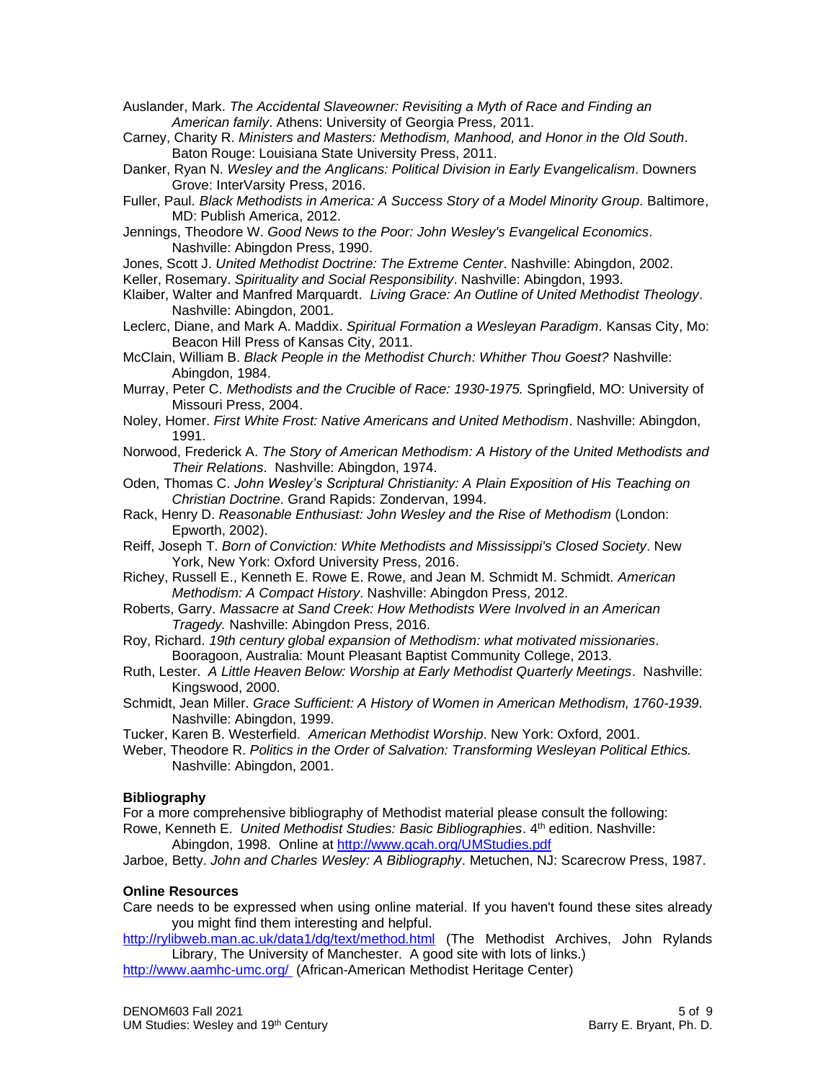- Auslander, Mark. *The Accidental Slaveowner: Revisiting a Myth of Race and Finding an American family*. Athens: University of Georgia Press, 2011.
- Carney, Charity R. *Ministers and Masters: Methodism, Manhood, and Honor in the Old South*. Baton Rouge: Louisiana State University Press, 2011.
- Danker, Ryan N. *Wesley and the Anglicans: Political Division in Early Evangelicalism*. Downers Grove: InterVarsity Press, 2016.
- Fuller, Paul. *Black Methodists in America: A Success Story of a Model Minority Group*. Baltimore, MD: Publish America, 2012.
- Jennings, Theodore W. *Good News to the Poor: John Wesley's Evangelical Economics*. Nashville: Abingdon Press, 1990.
- Jones, Scott J. *United Methodist Doctrine: The Extreme Center*. Nashville: Abingdon, 2002.
- Keller, Rosemary. *Spirituality and Social Responsibility*. Nashville: Abingdon, 1993.
- Klaiber, Walter and Manfred Marquardt. *Living Grace: An Outline of United Methodist Theology*. Nashville: Abingdon, 2001.
- Leclerc, Diane, and Mark A. Maddix. *Spiritual Formation a Wesleyan Paradigm*. Kansas City, Mo: Beacon Hill Press of Kansas City, 2011.
- McClain, William B. *Black People in the Methodist Church: Whither Thou Goest?* Nashville: Abingdon, 1984.
- Murray, Peter C. *Methodists and the Crucible of Race: 1930-1975.* Springfield, MO: University of Missouri Press, 2004.
- Noley, Homer. *First White Frost: Native Americans and United Methodism*. Nashville: Abingdon, 1991.
- Norwood, Frederick A. *The Story of American Methodism: A History of the United Methodists and Their Relations*. Nashville: Abingdon, 1974.
- Oden, Thomas C. *John Wesley's Scriptural Christianity: A Plain Exposition of His Teaching on Christian Doctrine*. Grand Rapids: Zondervan, 1994.
- Rack, Henry D. *Reasonable Enthusiast: John Wesley and the Rise of Methodism* (London: Epworth, 2002).
- Reiff, Joseph T. *Born of Conviction: White Methodists and Mississippi's Closed Society*. New York, New York: Oxford University Press, 2016.
- Richey, Russell E., Kenneth E. Rowe E. Rowe, and Jean M. Schmidt M. Schmidt. *American Methodism: A Compact History*. Nashville: Abingdon Press, 2012.
- Roberts, Garry. *Massacre at Sand Creek: How Methodists Were Involved in an American Tragedy.* Nashville: Abingdon Press, 2016.
- Roy, Richard. *19th century global expansion of Methodism: what motivated missionaries*. Booragoon, Australia: Mount Pleasant Baptist Community College, 2013.
- Ruth, Lester. *A Little Heaven Below: Worship at Early Methodist Quarterly Meetings*. Nashville: Kingswood, 2000.
- Schmidt, Jean Miller. *Grace Sufficient: A History of Women in American Methodism, 1760-1939*. Nashville: Abingdon, 1999.
- Tucker, Karen B. Westerfield. *American Methodist Worship*. New York: Oxford, 2001.
- Weber, Theodore R. *Politics in the Order of Salvation: Transforming Wesleyan Political Ethics.* Nashville: Abingdon, 2001.

## **Bibliography**

For a more comprehensive bibliography of Methodist material please consult the following: Rowe, Kenneth E. *United Methodist Studies: Basic Bibliographies*. 4th edition. Nashville:

- Abingdon, 1998. Online at<http://www.gcah.org/UMStudies.pdf>
- Jarboe, Betty. *John and Charles Wesley: A Bibliography*. Metuchen, NJ: Scarecrow Press, 1987.

## **Online Resources**

Care needs to be expressed when using online material. If you haven't found these sites already you might find them interesting and helpful.

<http://rylibweb.man.ac.uk/data1/dg/text/method.html> (The Methodist Archives, John Rylands Library, The University of Manchester. A good site with lots of links.)

<http://www.aamhc-umc.org/>(African-American Methodist Heritage Center)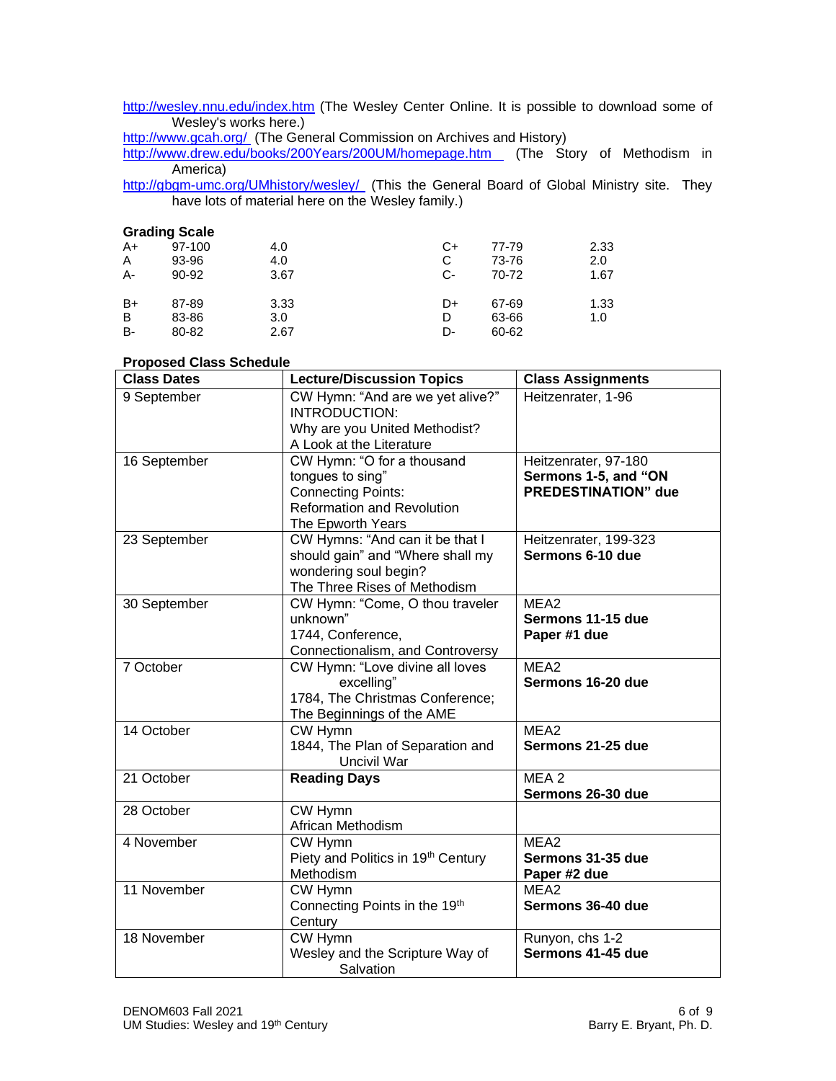<http://wesley.nnu.edu/index.htm> (The Wesley Center Online. It is possible to download some of Wesley's works here.)

<http://www.gcah.org/>(The General Commission on Archives and History)

<http://www.drew.edu/books/200Years/200UM/homepage.htm>(The Story of Methodism in America)

http://gbgm-umc.org/UMhistory/wesley/ (This the General Board of Global Ministry site. They have lots of material here on the Wesley family.)

|    | <b>Grading Scale</b> |      |      |       |      |
|----|----------------------|------|------|-------|------|
| A+ | 97-100               | 4.0  | C+   | 77-79 | 2.33 |
| Α  | 93-96                | 4.0  | C    | 73-76 | 2.0  |
| A- | $90 - 92$            | 3.67 | $C-$ | 70-72 | 1.67 |
| B+ | 87-89                | 3.33 | D+   | 67-69 | 1.33 |
| B  | 83-86                | 3.0  | D    | 63-66 | 1.0  |
| в- | 80-82                | 2.67 | D-   | 60-62 |      |

# **Proposed Class Schedule**

| , roposca olass concaalc<br><b>Class Dates</b> | <b>Lecture/Discussion Topics</b>                                                                                                      | <b>Class Assignments</b>                                                   |
|------------------------------------------------|---------------------------------------------------------------------------------------------------------------------------------------|----------------------------------------------------------------------------|
| 9 September                                    | CW Hymn: "And are we yet alive?"<br>INTRODUCTION:<br>Why are you United Methodist?                                                    | Heitzenrater, 1-96                                                         |
|                                                | A Look at the Literature                                                                                                              |                                                                            |
| 16 September                                   | CW Hymn: "O for a thousand<br>tongues to sing"<br><b>Connecting Points:</b><br><b>Reformation and Revolution</b><br>The Epworth Years | Heitzenrater, 97-180<br>Sermons 1-5, and "ON<br><b>PREDESTINATION"</b> due |
| 23 September                                   | CW Hymns: "And can it be that I<br>should gain" and "Where shall my<br>wondering soul begin?<br>The Three Rises of Methodism          | Heitzenrater, 199-323<br>Sermons 6-10 due                                  |
| 30 September                                   | CW Hymn: "Come, O thou traveler<br>unknown"<br>1744, Conference,<br>Connectionalism, and Controversy                                  | MEA <sub>2</sub><br>Sermons 11-15 due<br>Paper #1 due                      |
| 7 October                                      | CW Hymn: "Love divine all loves<br>excelling"<br>1784, The Christmas Conference;<br>The Beginnings of the AME                         | MEA2<br>Sermons 16-20 due                                                  |
| 14 October                                     | CW Hymn<br>1844, The Plan of Separation and<br>Uncivil War                                                                            | MEA2<br>Sermons 21-25 due                                                  |
| 21 October                                     | <b>Reading Days</b>                                                                                                                   | MEA <sub>2</sub><br>Sermons 26-30 due                                      |
| 28 October                                     | CW Hymn<br>African Methodism                                                                                                          |                                                                            |
| 4 November                                     | CW Hymn<br>Piety and Politics in 19th Century<br>Methodism                                                                            | MEA <sub>2</sub><br>Sermons 31-35 due<br>Paper #2 due                      |
| 11 November                                    | CW Hymn<br>Connecting Points in the 19th<br>Century                                                                                   | MEA <sub>2</sub><br>Sermons 36-40 due                                      |
| 18 November                                    | CW Hymn<br>Wesley and the Scripture Way of<br>Salvation                                                                               | Runyon, chs 1-2<br>Sermons 41-45 due                                       |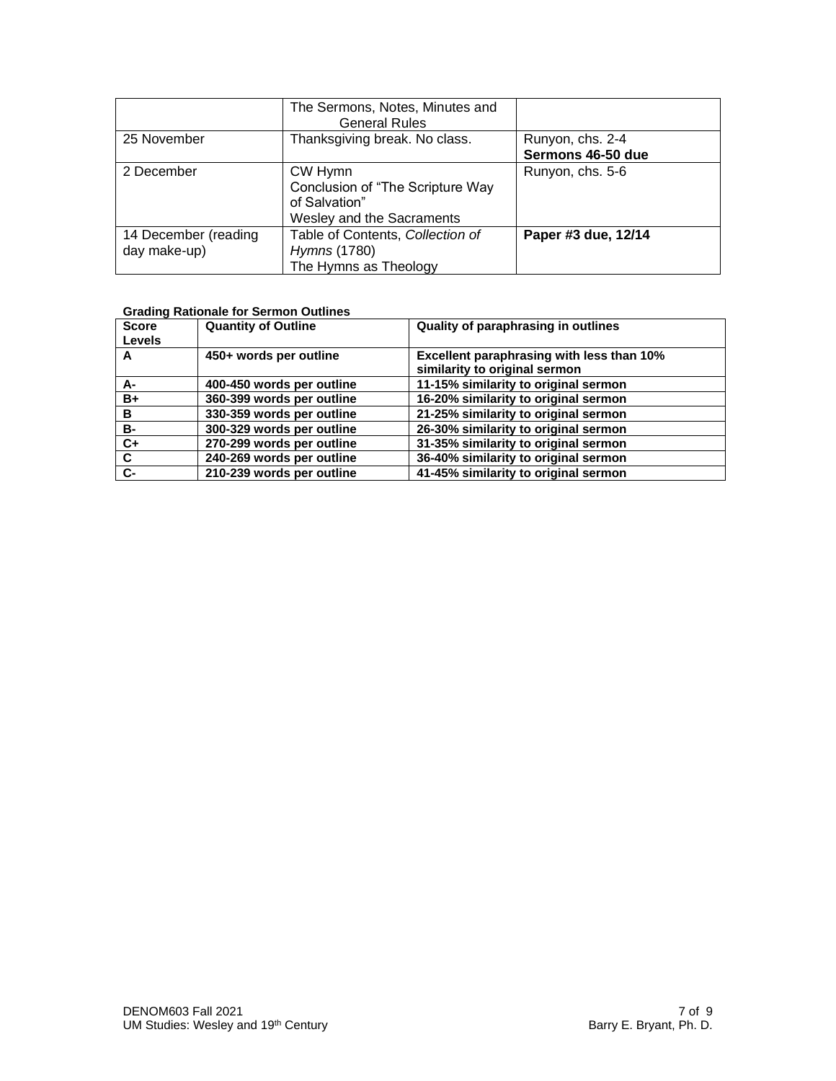|                      | The Sermons, Notes, Minutes and<br><b>General Rules</b> |                     |
|----------------------|---------------------------------------------------------|---------------------|
| 25 November          | Thanksgiving break. No class.                           | Runyon, chs. 2-4    |
|                      |                                                         | Sermons 46-50 due   |
| 2 December           | CW Hymn                                                 | Runyon, chs. 5-6    |
|                      | Conclusion of "The Scripture Way                        |                     |
|                      | of Salvation"                                           |                     |
|                      | Wesley and the Sacraments                               |                     |
| 14 December (reading | Table of Contents, Collection of                        | Paper #3 due, 12/14 |
| day make-up)         | Hymns (1780)                                            |                     |
|                      | The Hymns as Theology                                   |                     |

# **Grading Rationale for Sermon Outlines**

| <b>Score</b><br><b>Levels</b> | <b>Quantity of Outline</b> | Quality of paraphrasing in outlines                                        |
|-------------------------------|----------------------------|----------------------------------------------------------------------------|
| A                             | 450+ words per outline     | Excellent paraphrasing with less than 10%<br>similarity to original sermon |
| А-                            | 400-450 words per outline  | 11-15% similarity to original sermon                                       |
| $B+$                          | 360-399 words per outline  | 16-20% similarity to original sermon                                       |
| B                             | 330-359 words per outline  | 21-25% similarity to original sermon                                       |
| <b>B-</b>                     | 300-329 words per outline  | 26-30% similarity to original sermon                                       |
| $C+$                          | 270-299 words per outline  | 31-35% similarity to original sermon                                       |
| C                             | 240-269 words per outline  | 36-40% similarity to original sermon                                       |
| $c-$                          | 210-239 words per outline  | 41-45% similarity to original sermon                                       |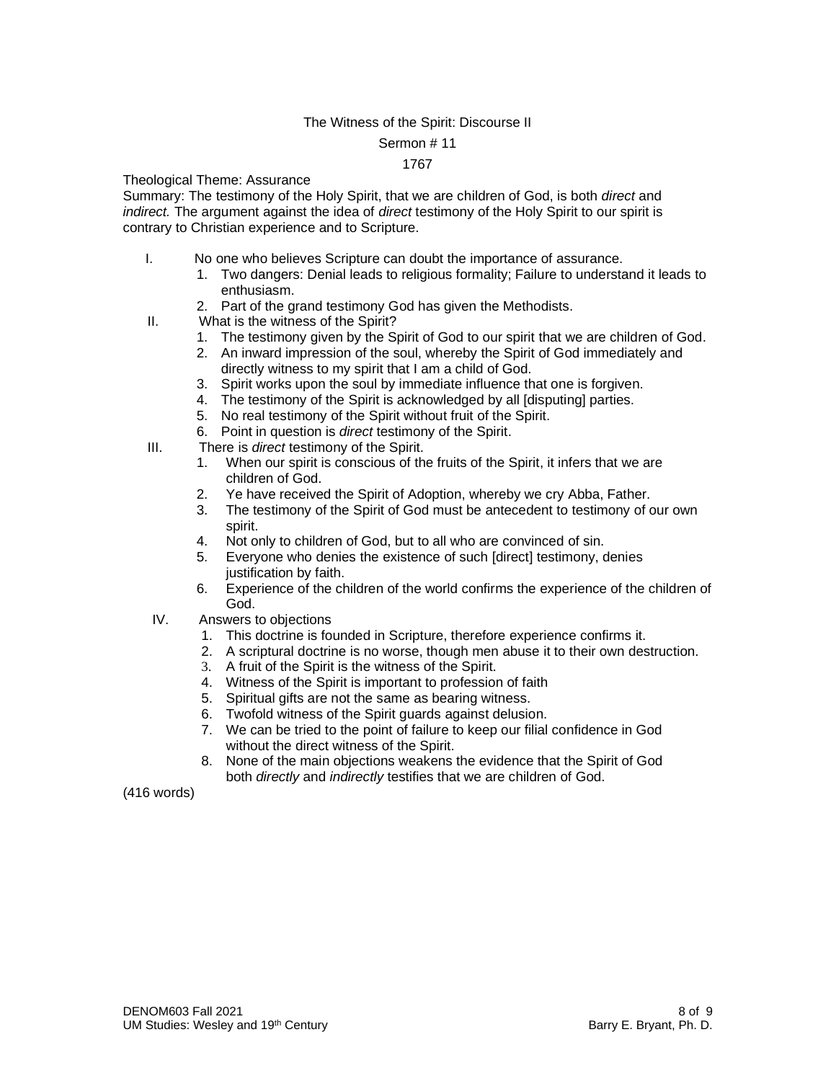# The Witness of the Spirit: Discourse II

#### Sermon # 11

## 1767

Theological Theme: Assurance

Summary: The testimony of the Holy Spirit, that we are children of God, is both *direct* and *indirect.* The argument against the idea of *direct* testimony of the Holy Spirit to our spirit is contrary to Christian experience and to Scripture.

- I. No one who believes Scripture can doubt the importance of assurance.
	- 1. Two dangers: Denial leads to religious formality; Failure to understand it leads to enthusiasm.
	- 2. Part of the grand testimony God has given the Methodists.
- II. What is the witness of the Spirit?
	- 1. The testimony given by the Spirit of God to our spirit that we are children of God.
	- 2. An inward impression of the soul, whereby the Spirit of God immediately and directly witness to my spirit that I am a child of God.
	- 3. Spirit works upon the soul by immediate influence that one is forgiven.
	- 4. The testimony of the Spirit is acknowledged by all [disputing] parties.
	- 5. No real testimony of the Spirit without fruit of the Spirit.
	- 6. Point in question is *direct* testimony of the Spirit.
- III. There is *direct* testimony of the Spirit.
	- 1. When our spirit is conscious of the fruits of the Spirit, it infers that we are children of God.
	- 2. Ye have received the Spirit of Adoption, whereby we cry Abba, Father.<br>3. The testimony of the Spirit of God must be antecedent to testimony of c
	- The testimony of the Spirit of God must be antecedent to testimony of our own spirit.
	- 4. Not only to children of God, but to all who are convinced of sin.
	- 5. Everyone who denies the existence of such [direct] testimony, denies justification by faith.
	- 6. Experience of the children of the world confirms the experience of the children of God.
- IV. Answers to objections
	- 1. This doctrine is founded in Scripture, therefore experience confirms it.
	- 2. A scriptural doctrine is no worse, though men abuse it to their own destruction.
	- 3. A fruit of the Spirit is the witness of the Spirit.
	- 4. Witness of the Spirit is important to profession of faith
	- 5. Spiritual gifts are not the same as bearing witness.
	- 6. Twofold witness of the Spirit guards against delusion.
	- 7. We can be tried to the point of failure to keep our filial confidence in God without the direct witness of the Spirit.
	- 8. None of the main objections weakens the evidence that the Spirit of God both *directly* and *indirectly* testifies that we are children of God.

(416 words)